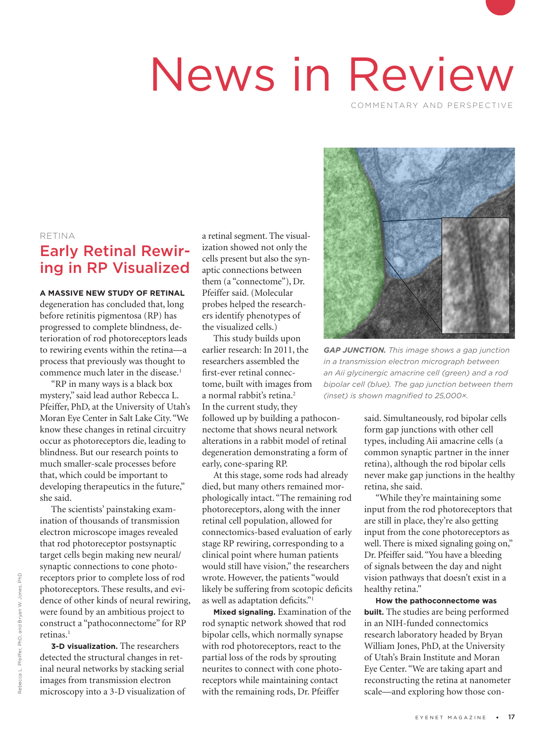# News in Review

COMMENTARY AND PERSPECTIVE

#### RETINA

# Early Retinal Rewiring in RP Visualized

**A MASSIVE NEW STUDY OF RETINAL** degeneration has concluded that, long before retinitis pigmentosa (RP) has progressed to complete blindness, deterioration of rod photoreceptors leads to rewiring events within the retina—a process that previously was thought to commence much later in the disease.<sup>1</sup>

"RP in many ways is a black box mystery," said lead author Rebecca L. Pfeiffer, PhD, at the University of Utah's Moran Eye Center in Salt Lake City. "We know these changes in retinal circuitry occur as photoreceptors die, leading to blindness. But our research points to much smaller-scale processes before that, which could be important to developing therapeutics in the future," she said.

The scientists' painstaking examination of thousands of transmission electron microscope images revealed that rod photoreceptor postsynaptic target cells begin making new neural/ synaptic connections to cone photoreceptors prior to complete loss of rod photoreceptors. These results, and evidence of other kinds of neural rewiring, were found by an ambitious project to construct a "pathoconnectome" for RP retinas.<sup>1</sup>

**3-D visualization.** The researchers detected the structural changes in retinal neural networks by stacking serial images from transmission electron microscopy into a 3-D visualization of a retinal segment. The visualization showed not only the cells present but also the synaptic connections between them (a "connectome"), Dr. Pfeiffer said. (Molecular probes helped the researchers identify phenotypes of the visualized cells.)

This study builds upon earlier research: In 2011, the researchers assembled the first-ever retinal connectome, built with images from a normal rabbit's retina.<sup>2</sup> In the current study, they followed up by building a pathoconnectome that shows neural network alterations in a rabbit model of retinal degeneration demonstrating a form of early, cone-sparing RP.

At this stage, some rods had already died, but many others remained morphologically intact. "The remaining rod photoreceptors, along with the inner retinal cell population, allowed for connectomics-based evaluation of early stage RP rewiring, corresponding to a clinical point where human patients would still have vision," the researchers wrote. However, the patients "would likely be suffering from scotopic deficits as well as adaptation deficits."1

**Mixed signaling.** Examination of the rod synaptic network showed that rod bipolar cells, which normally synapse with rod photoreceptors, react to the partial loss of the rods by sprouting neurites to connect with cone photoreceptors while maintaining contact with the remaining rods, Dr. Pfeiffer



*GAP JUNCTION. This image shows a gap junction in a transmission electron micrograph between an Aii glycinergic amacrine cell (green) and a rod bipolar cell (blue). The gap junction between them (inset) is shown magnified to 25,000×.* 

said. Simultaneously, rod bipolar cells form gap junctions with other cell types, including Aii amacrine cells (a common synaptic partner in the inner retina), although the rod bipolar cells never make gap junctions in the healthy retina, she said.

"While they're maintaining some input from the rod photoreceptors that are still in place, they're also getting input from the cone photoreceptors as well. There is mixed signaling going on," Dr. Pfeiffer said. "You have a bleeding of signals between the day and night vision pathways that doesn't exist in a healthy retina."

**How the pathoconnectome was built.** The studies are being performed in an NIH-funded connectomics research laboratory headed by Bryan William Jones, PhD, at the University of Utah's Brain Institute and Moran Eye Center. "We are taking apart and reconstructing the retina at nanometer scale—and exploring how those con-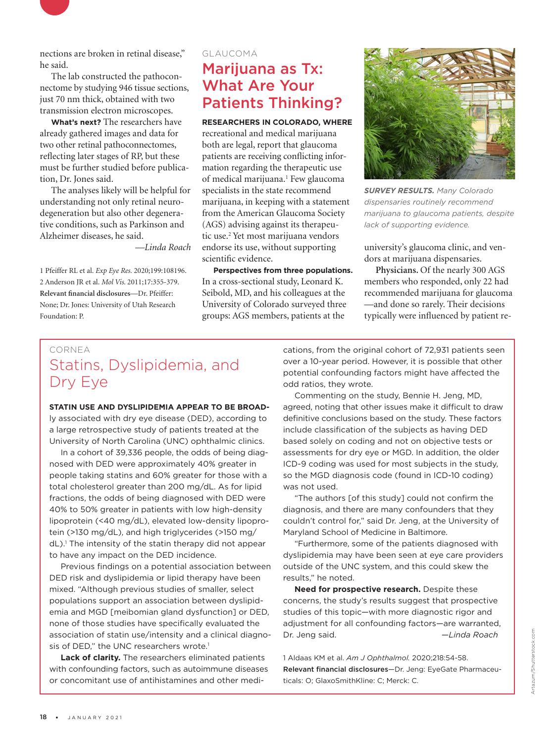

The lab constructed the pathoconnectome by studying 946 tissue sections, just 70 nm thick, obtained with two transmission electron microscopes.

**What's next?** The researchers have already gathered images and data for two other retinal pathoconnectomes, reflecting later stages of RP, but these must be further studied before publication, Dr. Jones said.

The analyses likely will be helpful for understanding not only retinal neurodegeneration but also other degenerative conditions, such as Parkinson and Alzheimer diseases, he said.

*—Linda Roach*

1 Pfeiffer RL et al. *Exp Eye Res.* 2020;199:108196. 2 Anderson JR et al. *Mol Vis.* 2011;17:355-379. **Relevant financial disclosures**—Dr. Pfeiffer: None; Dr. Jones: University of Utah Research Foundation: P.

### GLAUCOMA Marijuana as Tx: What Are Your Patients Thinking?

**RESEARCHERS IN COLORADO, WHERE**

recreational and medical marijuana both are legal, report that glaucoma patients are receiving conflicting information regarding the therapeutic use of medical marijuana.<sup>1</sup> Few glaucoma specialists in the state recommend marijuana, in keeping with a statement from the American Glaucoma Society (AGS) advising against its therapeutic use.2 Yet most marijuana vendors endorse its use, without supporting scientific evidence.

**Perspectives from three populations.**  In a cross-sectional study, Leonard K. Seibold, MD, and his colleagues at the University of Colorado surveyed three groups: AGS members, patients at the



*SURVEY RESULTS. Many Colorado dispensaries routinely recommend marijuana to glaucoma patients, despite lack of supporting evidence.*

university's glaucoma clinic, and vendors at marijuana dispensaries.

**Physicians.** Of the nearly 300 AGS members who responded, only 22 had recommended marijuana for glaucoma —and done so rarely. Their decisions typically were influenced by patient re-

## CORNEA Statins, Dyslipidemia, and Dry Eye

**STATIN USE AND DYSLIPIDEMIA APPEAR TO BE BROAD**ly associated with dry eye disease (DED), according to a large retrospective study of patients treated at the University of North Carolina (UNC) ophthalmic clinics.

In a cohort of 39,336 people, the odds of being diagnosed with DED were approximately 40% greater in people taking statins and 60% greater for those with a total cholesterol greater than 200 mg/dL. As for lipid fractions, the odds of being diagnosed with DED were 40% to 50% greater in patients with low high-density lipoprotein (<40 mg/dL), elevated low-density lipoprotein (>130 mg/dL), and high triglycerides (>150 mg/ dL).<sup>1</sup> The intensity of the statin therapy did not appear to have any impact on the DED incidence.

Previous findings on a potential association between DED risk and dyslipidemia or lipid therapy have been mixed. "Although previous studies of smaller, select populations support an association between dyslipidemia and MGD [meibomian gland dysfunction] or DED, none of those studies have specifically evaluated the association of statin use/intensity and a clinical diagnosis of DED," the UNC researchers wrote.<sup>1</sup>

**Lack of clarity.** The researchers eliminated patients with confounding factors, such as autoimmune diseases or concomitant use of antihistamines and other medications, from the original cohort of 72,931 patients seen over a 10-year period. However, it is possible that other potential confounding factors might have affected the odd ratios, they wrote.

Commenting on the study, Bennie H. Jeng, MD, agreed, noting that other issues make it difficult to draw definitive conclusions based on the study. These factors include classification of the subjects as having DED based solely on coding and not on objective tests or assessments for dry eye or MGD. In addition, the older ICD-9 coding was used for most subjects in the study, so the MGD diagnosis code (found in ICD-10 coding) was not used.

"The authors [of this study] could not confirm the diagnosis, and there are many confounders that they couldn't control for," said Dr. Jeng, at the University of Maryland School of Medicine in Baltimore.

"Furthermore, some of the patients diagnosed with dyslipidemia may have been seen at eye care providers outside of the UNC system, and this could skew the results," he noted.

**Need for prospective research.** Despite these concerns, the study's results suggest that prospective studies of this topic—with more diagnostic rigor and adjustment for all confounding factors—are warranted, Dr. Jeng said. *—Linda Roach*

1 Aldaas KM et al. *Am J Ophthalmol.* 2020;218:54-58. Relevant financial disclosures—Dr. Jeng: EyeGate Pharmaceuticals: O; GlaxoSmithKline: C; Merck: C.